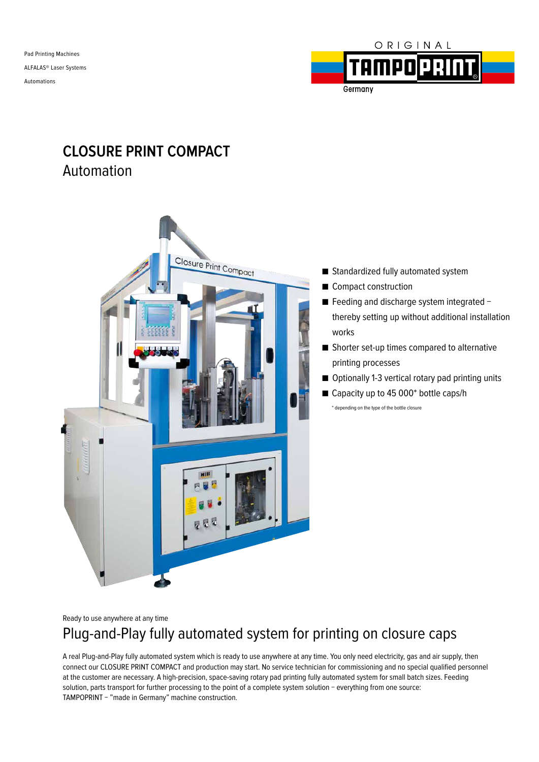Pad Printing Machines ALFALAS® Laser Systems Automations



# **CLOSURE PRINT COMPACT** Automation



■ Standardized fully automated system

■ Compact construction

■ Feeding and discharge system integrated thereby setting up without additional installation works

- Shorter set-up times compared to alternative printing processes
- Optionally 1-3 vertical rotary pad printing units
- Capacity up to 45 000<sup>\*</sup> bottle caps/h \* depending on the type of the bottle closure

Ready to use anywhere at any time

# Plug-and-Play fully automated system for printing on closure caps

A real Plug-and-Play fully automated system which is ready to use anywhere at any time. You only need electricity, gas and air supply, then connect our CLOSURE PRINT COMPACT and production may start. No service technician for commissioning and no special qualified personnel at the customer are necessary. A high-precision, space-saving rotary pad printing fully automated system for small batch sizes. Feeding solution, parts transport for further processing to the point of a complete system solution − everything from one source: TAMPOPRINT − "made in Germany" machine construction.